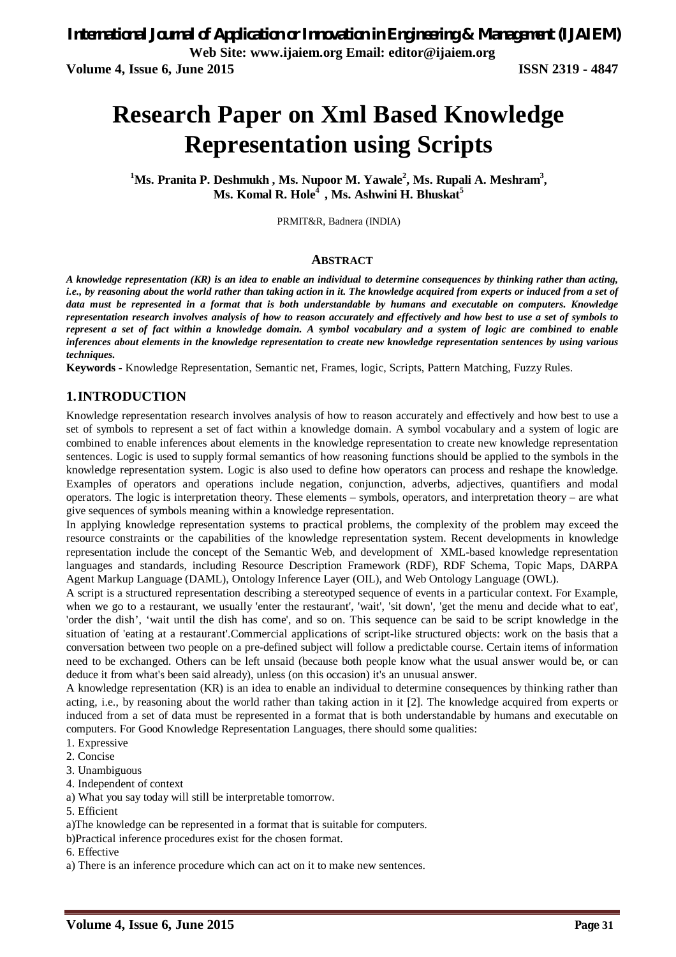**Volume 4, Issue 6, June 2015 ISSN 2319 - 4847**

# **Research Paper on Xml Based Knowledge Representation using Scripts**

**<sup>1</sup>Ms. Pranita P. Deshmukh , Ms. Nupoor M. Yawale<sup>2</sup> , Ms. Rupali A. Meshram<sup>3</sup> , Ms. Komal R. Hole<sup>4</sup> , Ms. Ashwini H. Bhuskat<sup>5</sup>**

PRMIT&R, Badnera (INDIA)

#### **ABSTRACT**

*A knowledge representation (KR) is an idea to enable an individual to determine consequences by thinking rather than acting, i.e., by reasoning about the world rather than taking action in it. The knowledge acquired from experts or induced from a set of data must be represented in a format that is both understandable by humans and executable on computers. Knowledge representation research involves analysis of how to reason accurately and effectively and how best to use a set of symbols to represent a set of fact within a knowledge domain. A symbol vocabulary and a system of logic are combined to enable inferences about elements in the knowledge representation to create new knowledge representation sentences by using various techniques.*

**Keywords -** Knowledge Representation, Semantic net, Frames, logic, Scripts, Pattern Matching, Fuzzy Rules.

#### **1.INTRODUCTION**

Knowledge representation research involves analysis of how to reason accurately and effectively and how best to use a set of symbols to represent a set of fact within a knowledge domain. A symbol vocabulary and a system of logic are combined to enable inferences about elements in the knowledge representation to create new knowledge representation sentences. Logic is used to supply formal semantics of how reasoning functions should be applied to the symbols in the knowledge representation system. Logic is also used to define how operators can process and reshape the knowledge. Examples of operators and operations include negation, conjunction, adverbs, adjectives, quantifiers and modal operators. The logic is interpretation theory. These elements – symbols, operators, and interpretation theory – are what give sequences of symbols meaning within a knowledge representation.

In applying knowledge representation systems to practical problems, the complexity of the problem may exceed the resource constraints or the capabilities of the knowledge representation system. Recent developments in knowledge representation include the concept of the Semantic Web, and development of XML-based knowledge representation languages and standards, including Resource Description Framework (RDF), RDF Schema, Topic Maps, DARPA Agent Markup Language (DAML), Ontology Inference Layer (OIL), and Web Ontology Language (OWL).

A script is a structured representation describing a stereotyped sequence of events in a particular context. For Example, when we go to a restaurant, we usually 'enter the restaurant', 'wait', 'sit down', 'get the menu and decide what to eat', 'order the dish', 'wait until the dish has come', and so on. This sequence can be said to be script knowledge in the situation of 'eating at a restaurant'.Commercial applications of script-like structured objects: work on the basis that a conversation between two people on a pre-defined subject will follow a predictable course. Certain items of information need to be exchanged. Others can be left unsaid (because both people know what the usual answer would be, or can deduce it from what's been said already), unless (on this occasion) it's an unusual answer.

A knowledge representation (KR) is an idea to enable an individual to determine consequences by thinking rather than acting, i.e., by reasoning about the world rather than taking action in it [2]. The knowledge acquired from experts or induced from a set of data must be represented in a format that is both understandable by humans and executable on computers. For Good Knowledge Representation Languages, there should some qualities:

- 1. Expressive
- 2. Concise
- 3. Unambiguous
- 4. Independent of context
- a) What you say today will still be interpretable tomorrow.
- 5. Efficient

a)The knowledge can be represented in a format that is suitable for computers.

b)Practical inference procedures exist for the chosen format.

#### 6. Effective

a) There is an inference procedure which can act on it to make new sentences.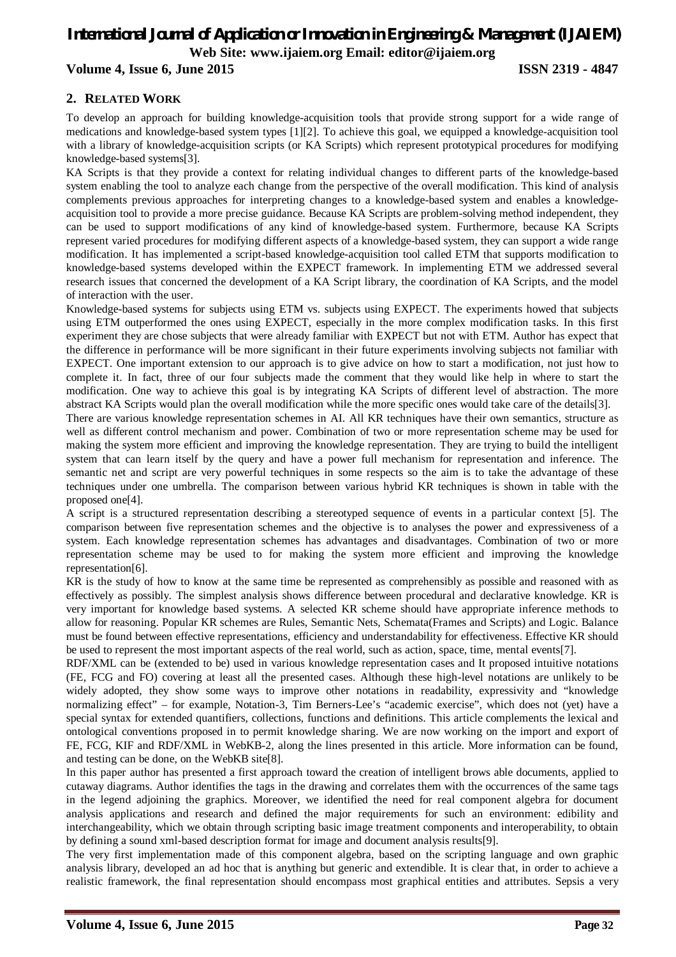#### **Volume 4, Issue 6, June 2015 ISSN 2319 - 4847**

#### **2. RELATED WORK**

To develop an approach for building knowledge-acquisition tools that provide strong support for a wide range of medications and knowledge-based system types [1][2]. To achieve this goal, we equipped a knowledge-acquisition tool with a library of knowledge-acquisition scripts (or KA Scripts) which represent prototypical procedures for modifying knowledge-based systems[3].

KA Scripts is that they provide a context for relating individual changes to different parts of the knowledge-based system enabling the tool to analyze each change from the perspective of the overall modification. This kind of analysis complements previous approaches for interpreting changes to a knowledge-based system and enables a knowledgeacquisition tool to provide a more precise guidance. Because KA Scripts are problem-solving method independent, they can be used to support modifications of any kind of knowledge-based system. Furthermore, because KA Scripts represent varied procedures for modifying different aspects of a knowledge-based system, they can support a wide range modification. It has implemented a script-based knowledge-acquisition tool called ETM that supports modification to knowledge-based systems developed within the EXPECT framework. In implementing ETM we addressed several research issues that concerned the development of a KA Script library, the coordination of KA Scripts, and the model of interaction with the user.

Knowledge-based systems for subjects using ETM vs. subjects using EXPECT. The experiments howed that subjects using ETM outperformed the ones using EXPECT, especially in the more complex modification tasks. In this first experiment they are chose subjects that were already familiar with EXPECT but not with ETM. Author has expect that the difference in performance will be more significant in their future experiments involving subjects not familiar with EXPECT. One important extension to our approach is to give advice on how to start a modification, not just how to complete it. In fact, three of our four subjects made the comment that they would like help in where to start the modification. One way to achieve this goal is by integrating KA Scripts of different level of abstraction. The more abstract KA Scripts would plan the overall modification while the more specific ones would take care of the details[3].

There are various knowledge representation schemes in AI. All KR techniques have their own semantics, structure as well as different control mechanism and power. Combination of two or more representation scheme may be used for making the system more efficient and improving the knowledge representation. They are trying to build the intelligent system that can learn itself by the query and have a power full mechanism for representation and inference. The semantic net and script are very powerful techniques in some respects so the aim is to take the advantage of these techniques under one umbrella. The comparison between various hybrid KR techniques is shown in table with the proposed one[4].

A script is a structured representation describing a stereotyped sequence of events in a particular context [5]. The comparison between five representation schemes and the objective is to analyses the power and expressiveness of a system. Each knowledge representation schemes has advantages and disadvantages. Combination of two or more representation scheme may be used to for making the system more efficient and improving the knowledge representation[6].

KR is the study of how to know at the same time be represented as comprehensibly as possible and reasoned with as effectively as possibly. The simplest analysis shows difference between procedural and declarative knowledge. KR is very important for knowledge based systems. A selected KR scheme should have appropriate inference methods to allow for reasoning. Popular KR schemes are Rules, Semantic Nets, Schemata(Frames and Scripts) and Logic. Balance must be found between effective representations, efficiency and understandability for effectiveness. Effective KR should be used to represent the most important aspects of the real world, such as action, space, time, mental events[7].

RDF/XML can be (extended to be) used in various knowledge representation cases and It proposed intuitive notations (FE, FCG and FO) covering at least all the presented cases. Although these high-level notations are unlikely to be widely adopted, they show some ways to improve other notations in readability, expressivity and "knowledge normalizing effect" – for example, Notation-3, Tim Berners-Lee's "academic exercise", which does not (yet) have a special syntax for extended quantifiers, collections, functions and definitions. This article complements the lexical and ontological conventions proposed in to permit knowledge sharing. We are now working on the import and export of FE, FCG, KIF and RDF/XML in WebKB-2, along the lines presented in this article. More information can be found, and testing can be done, on the WebKB site[8].

In this paper author has presented a first approach toward the creation of intelligent brows able documents, applied to cutaway diagrams. Author identifies the tags in the drawing and correlates them with the occurrences of the same tags in the legend adjoining the graphics. Moreover, we identified the need for real component algebra for document analysis applications and research and defined the major requirements for such an environment: edibility and interchangeability, which we obtain through scripting basic image treatment components and interoperability, to obtain by defining a sound xml-based description format for image and document analysis results[9].

The very first implementation made of this component algebra, based on the scripting language and own graphic analysis library, developed an ad hoc that is anything but generic and extendible. It is clear that, in order to achieve a realistic framework, the final representation should encompass most graphical entities and attributes. Sepsis a very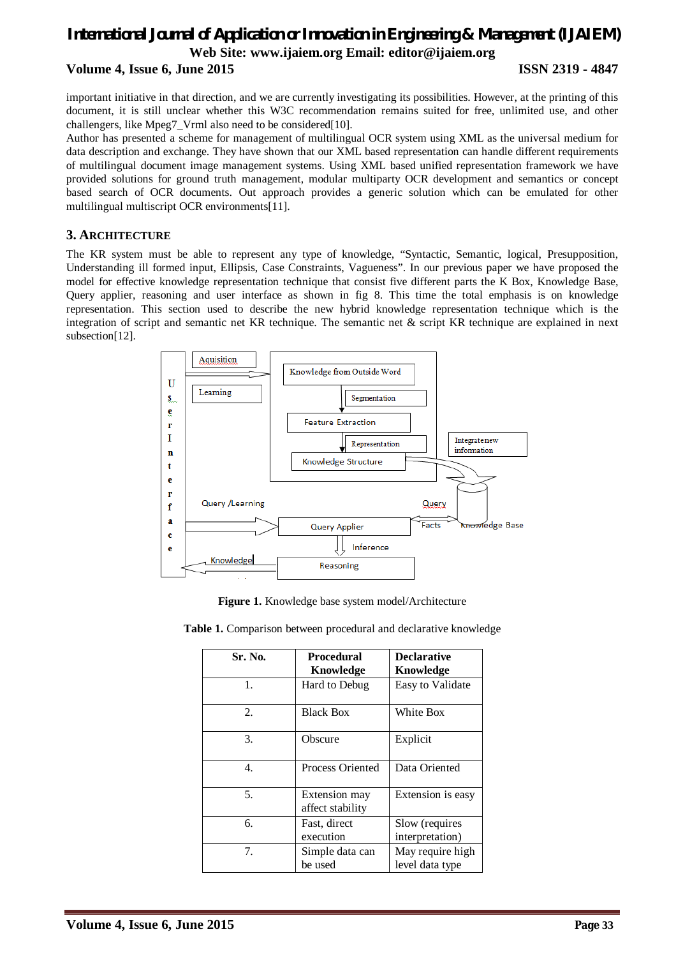### *International Journal of Application or Innovation in Engineering & Management (IJAIEM)* **Web Site: www.ijaiem.org Email: editor@ijaiem.org Volume 4, Issue 6, June 2015 ISSN 2319 - 4847**

important initiative in that direction, and we are currently investigating its possibilities. However, at the printing of this document, it is still unclear whether this W3C recommendation remains suited for free, unlimited use, and other challengers, like Mpeg7\_Vrml also need to be considered[10].

Author has presented a scheme for management of multilingual OCR system using XML as the universal medium for data description and exchange. They have shown that our XML based representation can handle different requirements of multilingual document image management systems. Using XML based unified representation framework we have provided solutions for ground truth management, modular multiparty OCR development and semantics or concept based search of OCR documents. Out approach provides a generic solution which can be emulated for other multilingual multiscript OCR environments[11].

#### **3. ARCHITECTURE**

The KR system must be able to represent any type of knowledge, "Syntactic, Semantic, logical, Presupposition, Understanding ill formed input, Ellipsis, Case Constraints, Vagueness". In our previous paper we have proposed the model for effective knowledge representation technique that consist five different parts the K Box, Knowledge Base, Query applier, reasoning and user interface as shown in fig 8. This time the total emphasis is on knowledge representation. This section used to describe the new hybrid knowledge representation technique which is the integration of script and semantic net KR technique. The semantic net & script KR technique are explained in next subsection[12].



**Figure 1.** Knowledge base system model/Architecture

|  | Table 1. Comparison between procedural and declarative knowledge |  |  |  |  |  |
|--|------------------------------------------------------------------|--|--|--|--|--|
|--|------------------------------------------------------------------|--|--|--|--|--|

| Sr. No. | <b>Procedural</b><br>Knowledge    | <b>Declarative</b><br>Knowledge     |  |
|---------|-----------------------------------|-------------------------------------|--|
| 1.      | Hard to Debug                     | Easy to Validate                    |  |
| 2.      | <b>Black Box</b>                  | White Box                           |  |
| 3.      | Obscure                           | Explicit                            |  |
| 4.      | <b>Process Oriented</b>           | Data Oriented                       |  |
| 5.      | Extension may<br>affect stability | Extension is easy                   |  |
| 6.      | Fast, direct<br>execution         | Slow (requires<br>interpretation)   |  |
| 7.      | Simple data can<br>be used        | May require high<br>level data type |  |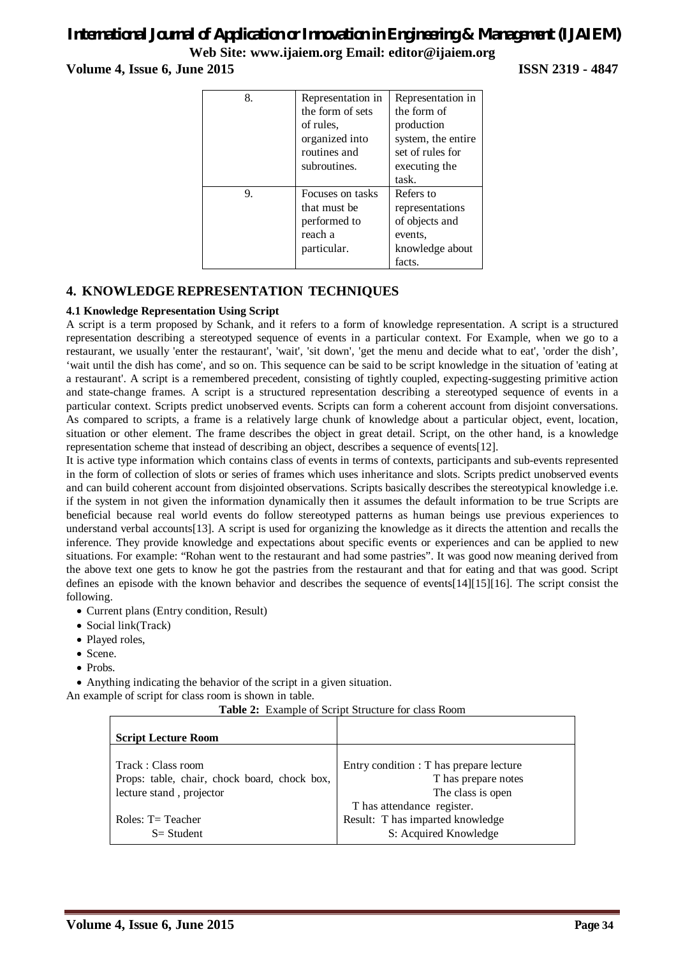**Volume 4, Issue 6, June 2015 ISSN 2319 - 4847**

| 8. | Representation in | Representation in  |
|----|-------------------|--------------------|
|    | the form of sets  | the form of        |
|    | of rules.         | production         |
|    | organized into    | system, the entire |
|    | routines and      | set of rules for   |
|    | subroutines.      | executing the      |
|    |                   | task.              |
| 9. | Focuses on tasks  | Refers to          |
|    | that must be      | representations    |
|    | performed to      | of objects and     |
|    | reach a           | events.            |
|    | particular.       | knowledge about    |
|    |                   | facts.             |

#### **4. KNOWLEDGE REPRESENTATION TECHNIQUES**

#### **4.1 Knowledge Representation Using Script**

A script is a term proposed by Schank, and it refers to a form of knowledge representation. A script is a structured representation describing a stereotyped sequence of events in a particular context. For Example, when we go to a restaurant, we usually 'enter the restaurant', 'wait', 'sit down', 'get the menu and decide what to eat', 'order the dish', 'wait until the dish has come', and so on. This sequence can be said to be script knowledge in the situation of 'eating at a restaurant'. A script is a remembered precedent, consisting of tightly coupled, expecting-suggesting primitive action and state-change frames. A script is a structured representation describing a stereotyped sequence of events in a particular context. Scripts predict unobserved events. Scripts can form a coherent account from disjoint conversations. As compared to scripts, a frame is a relatively large chunk of knowledge about a particular object, event, location, situation or other element. The frame describes the object in great detail. Script, on the other hand, is a knowledge representation scheme that instead of describing an object, describes a sequence of events[12].

It is active type information which contains class of events in terms of contexts, participants and sub-events represented in the form of collection of slots or series of frames which uses inheritance and slots. Scripts predict unobserved events and can build coherent account from disjointed observations. Scripts basically describes the stereotypical knowledge i.e. if the system in not given the information dynamically then it assumes the default information to be true Scripts are beneficial because real world events do follow stereotyped patterns as human beings use previous experiences to understand verbal accounts[13]. A script is used for organizing the knowledge as it directs the attention and recalls the inference. They provide knowledge and expectations about specific events or experiences and can be applied to new situations. For example: "Rohan went to the restaurant and had some pastries". It was good now meaning derived from the above text one gets to know he got the pastries from the restaurant and that for eating and that was good. Script defines an episode with the known behavior and describes the sequence of events[14][15][16]. The script consist the following.

- Current plans (Entry condition, Result)
- Social link(Track)
- Played roles,
- Scene.
- Probs.

Anything indicating the behavior of the script in a given situation.

An example of script for class room is shown in table.

**Table 2:** Example of Script Structure for class Room

| <b>Script Lecture Room</b>                   |                                         |
|----------------------------------------------|-----------------------------------------|
| Track: Class room                            | Entry condition : T has prepare lecture |
| Props: table, chair, chock board, chock box, | T has prepare notes                     |
| lecture stand, projector                     | The class is open                       |
|                                              | T has attendance register.              |
| Roles: $T = Teacher$                         | Result: T has imparted knowledge        |
| $S = Student$                                | S: Acquired Knowledge                   |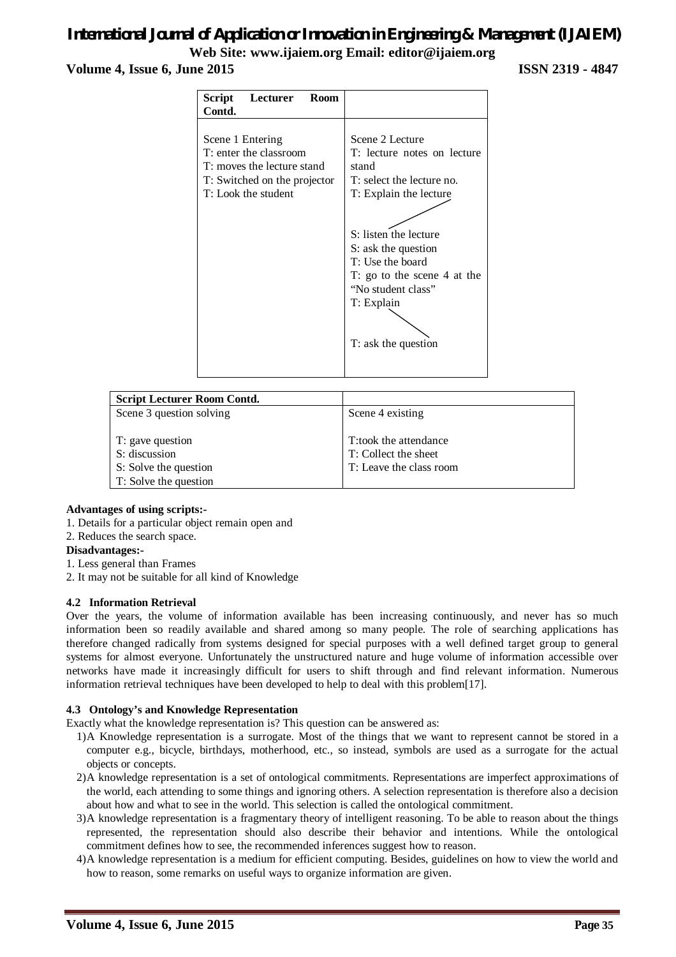#### **Volume 4, Issue 6, June 2015 ISSN 2319 - 4847**

| Scene 2 Lecture                                                                                                                                                                                                                                           |
|-----------------------------------------------------------------------------------------------------------------------------------------------------------------------------------------------------------------------------------------------------------|
|                                                                                                                                                                                                                                                           |
| T: lecture notes on lecture<br>stand<br>T: select the lecture no.<br>T: Explain the lecture<br>S: listen the lecture<br>S: ask the question<br>T: Use the board<br>T: go to the scene 4 at the<br>"No student class"<br>T: Explain<br>T: ask the question |
|                                                                                                                                                                                                                                                           |

| <b>Script Lecturer Room Contd.</b> |                         |
|------------------------------------|-------------------------|
| Scene 3 question solving           | Scene 4 existing        |
|                                    |                         |
| T: gave question                   | T:took the attendance   |
| S: discussion                      | T: Collect the sheet    |
| S: Solve the question              | T: Leave the class room |
| T: Solve the question              |                         |

#### **Advantages of using scripts:-**

- 1. Details for a particular object remain open and
- 2. Reduces the search space.

#### **Disadvantages:-**

- 1. Less general than Frames
- 2. It may not be suitable for all kind of Knowledge

#### **4.2 Information Retrieval**

Over the years, the volume of information available has been increasing continuously, and never has so much information been so readily available and shared among so many people. The role of searching applications has therefore changed radically from systems designed for special purposes with a well defined target group to general systems for almost everyone. Unfortunately the unstructured nature and huge volume of information accessible over networks have made it increasingly difficult for users to shift through and find relevant information. Numerous information retrieval techniques have been developed to help to deal with this problem[17].

#### **4.3 Ontology's and Knowledge Representation**

Exactly what the knowledge representation is? This question can be answered as:

- 1)A Knowledge representation is a surrogate. Most of the things that we want to represent cannot be stored in a computer e.g., bicycle, birthdays, motherhood, etc., so instead, symbols are used as a surrogate for the actual objects or concepts.
- 2)A knowledge representation is a set of ontological commitments. Representations are imperfect approximations of the world, each attending to some things and ignoring others. A selection representation is therefore also a decision about how and what to see in the world. This selection is called the ontological commitment.
- 3)A knowledge representation is a fragmentary theory of intelligent reasoning. To be able to reason about the things represented, the representation should also describe their behavior and intentions. While the ontological commitment defines how to see, the recommended inferences suggest how to reason.
- 4)A knowledge representation is a medium for efficient computing. Besides, guidelines on how to view the world and how to reason, some remarks on useful ways to organize information are given.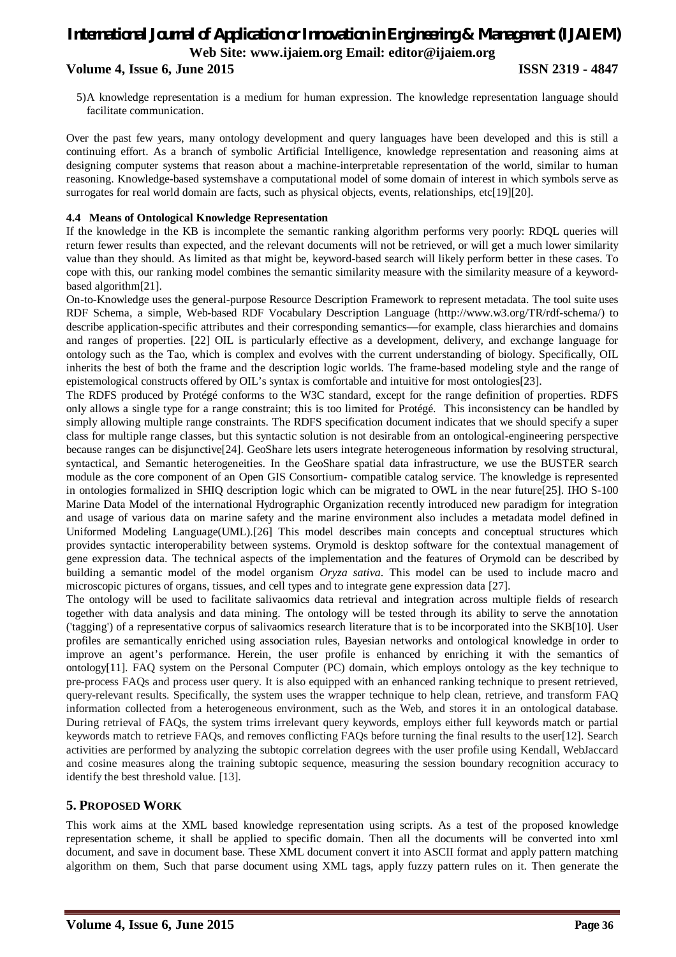#### **Volume 4, Issue 6, June 2015 ISSN 2319 - 4847**

5)A knowledge representation is a medium for human expression. The knowledge representation language should facilitate communication.

Over the past few years, many ontology development and query languages have been developed and this is still a continuing effort. As a branch of symbolic Artificial Intelligence, knowledge representation and reasoning aims at designing computer systems that reason about a machine-interpretable representation of the world, similar to human reasoning. Knowledge-based systemshave a computational model of some domain of interest in which symbols serve as surrogates for real world domain are facts, such as physical objects, events, relationships, etc[19][20].

#### **4.4 Means of Ontological Knowledge Representation**

If the knowledge in the KB is incomplete the semantic ranking algorithm performs very poorly: RDQL queries will return fewer results than expected, and the relevant documents will not be retrieved, or will get a much lower similarity value than they should. As limited as that might be, keyword-based search will likely perform better in these cases. To cope with this, our ranking model combines the semantic similarity measure with the similarity measure of a keywordbased algorithm[21].

On-to-Knowledge uses the general-purpose Resource Description Framework to represent metadata. The tool suite uses RDF Schema, a simple, Web-based RDF Vocabulary Description Language (http://www.w3.org/TR/rdf-schema/) to describe application-specific attributes and their corresponding semantics—for example, class hierarchies and domains and ranges of properties. [22] OIL is particularly effective as a development, delivery, and exchange language for ontology such as the Tao, which is complex and evolves with the current understanding of biology. Specifically, OIL inherits the best of both the frame and the description logic worlds. The frame-based modeling style and the range of epistemological constructs offered by OIL's syntax is comfortable and intuitive for most ontologies[23].

The RDFS produced by Protégé conforms to the W3C standard, except for the range definition of properties. RDFS only allows a single type for a range constraint; this is too limited for Protégé. This inconsistency can be handled by simply allowing multiple range constraints. The RDFS specification document indicates that we should specify a super class for multiple range classes, but this syntactic solution is not desirable from an ontological-engineering perspective because ranges can be disjunctive[24]. GeoShare lets users integrate heterogeneous information by resolving structural, syntactical, and Semantic heterogeneities. In the GeoShare spatial data infrastructure, we use the BUSTER search module as the core component of an Open GIS Consortium- compatible catalog service. The knowledge is represented in ontologies formalized in SHIQ description logic which can be migrated to OWL in the near future[25]. IHO S-100 Marine Data Model of the international Hydrographic Organization recently introduced new paradigm for integration and usage of various data on marine safety and the marine environment also includes a metadata model defined in Uniformed Modeling Language(UML).<sup>[26]</sup> This model describes main concepts and conceptual structures which provides syntactic interoperability between systems. Orymold is desktop software for the contextual management of gene expression data. The technical aspects of the implementation and the features of Orymold can be described by building a semantic model of the model organism *Oryza sativa*. This model can be used to include macro and microscopic pictures of organs, tissues, and cell types and to integrate gene expression data [27].

The ontology will be used to facilitate salivaomics data retrieval and integration across multiple fields of research together with data analysis and data mining. The ontology will be tested through its ability to serve the annotation ('tagging') of a representative corpus of salivaomics research literature that is to be incorporated into the SKB[10]. User profiles are semantically enriched using association rules, Bayesian networks and ontological knowledge in order to improve an agent's performance. Herein, the user profile is enhanced by enriching it with the semantics of ontology[11]. FAQ system on the Personal Computer (PC) domain, which employs ontology as the key technique to pre-process FAQs and process user query. It is also equipped with an enhanced ranking technique to present retrieved, query-relevant results. Specifically, the system uses the wrapper technique to help clean, retrieve, and transform FAQ information collected from a heterogeneous environment, such as the Web, and stores it in an ontological database. During retrieval of FAQs, the system trims irrelevant query keywords, employs either full keywords match or partial keywords match to retrieve FAQs, and removes conflicting FAQs before turning the final results to the user[12]. Search activities are performed by analyzing the subtopic correlation degrees with the user profile using Kendall, WebJaccard and cosine measures along the training subtopic sequence, measuring the session boundary recognition accuracy to identify the best threshold value. [13].

#### **5. PROPOSED WORK**

This work aims at the XML based knowledge representation using scripts. As a test of the proposed knowledge representation scheme, it shall be applied to specific domain. Then all the documents will be converted into xml document, and save in document base. These XML document convert it into ASCII format and apply pattern matching algorithm on them, Such that parse document using XML tags, apply fuzzy pattern rules on it. Then generate the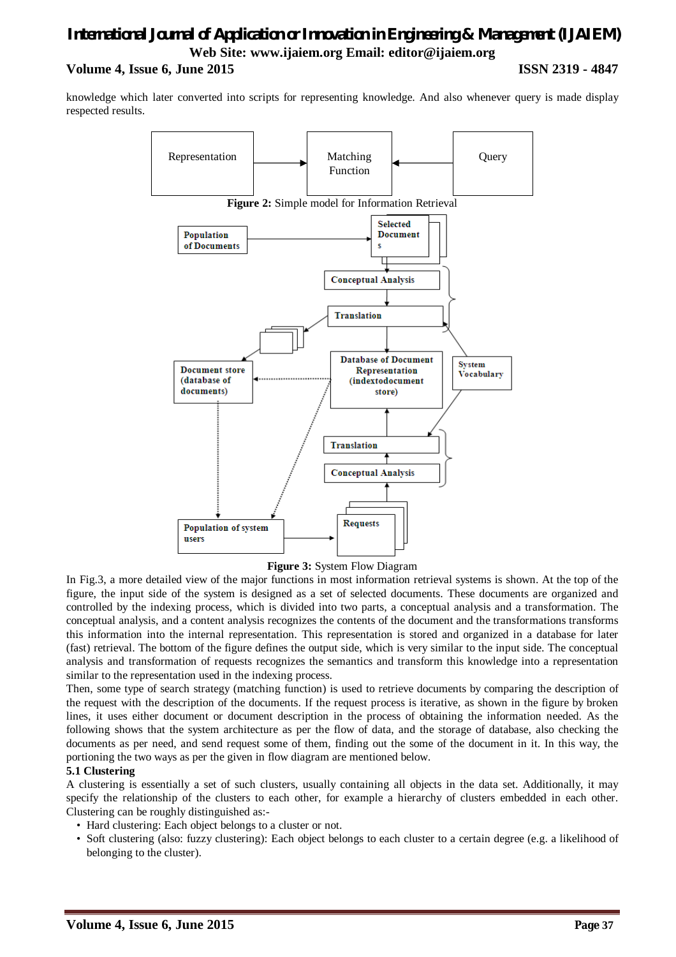### *International Journal of Application or Innovation in Engineering & Management (IJAIEM)* **Web Site: www.ijaiem.org Email: editor@ijaiem.org Volume 4, Issue 6, June 2015 ISSN 2319 - 4847**

knowledge which later converted into scripts for representing knowledge. And also whenever query is made display respected results.



**Figure 3:** System Flow Diagram

In Fig.3, a more detailed view of the major functions in most information retrieval systems is shown. At the top of the figure, the input side of the system is designed as a set of selected documents. These documents are organized and controlled by the indexing process, which is divided into two parts, a conceptual analysis and a transformation. The conceptual analysis, and a content analysis recognizes the contents of the document and the transformations transforms this information into the internal representation. This representation is stored and organized in a database for later (fast) retrieval. The bottom of the figure defines the output side, which is very similar to the input side. The conceptual analysis and transformation of requests recognizes the semantics and transform this knowledge into a representation similar to the representation used in the indexing process.

Then, some type of search strategy (matching function) is used to retrieve documents by comparing the description of the request with the description of the documents. If the request process is iterative, as shown in the figure by broken lines, it uses either document or document description in the process of obtaining the information needed. As the following shows that the system architecture as per the flow of data, and the storage of database, also checking the documents as per need, and send request some of them, finding out the some of the document in it. In this way, the portioning the two ways as per the given in flow diagram are mentioned below.

#### **5.1 Clustering**

A clustering is essentially a set of such clusters, usually containing all objects in the data set. Additionally, it may specify the relationship of the clusters to each other, for example a hierarchy of clusters embedded in each other. Clustering can be roughly distinguished as:-

- Hard clustering: Each object belongs to a cluster or not.
- Soft clustering (also: fuzzy clustering): Each object belongs to each cluster to a certain degree (e.g. a likelihood of belonging to the cluster).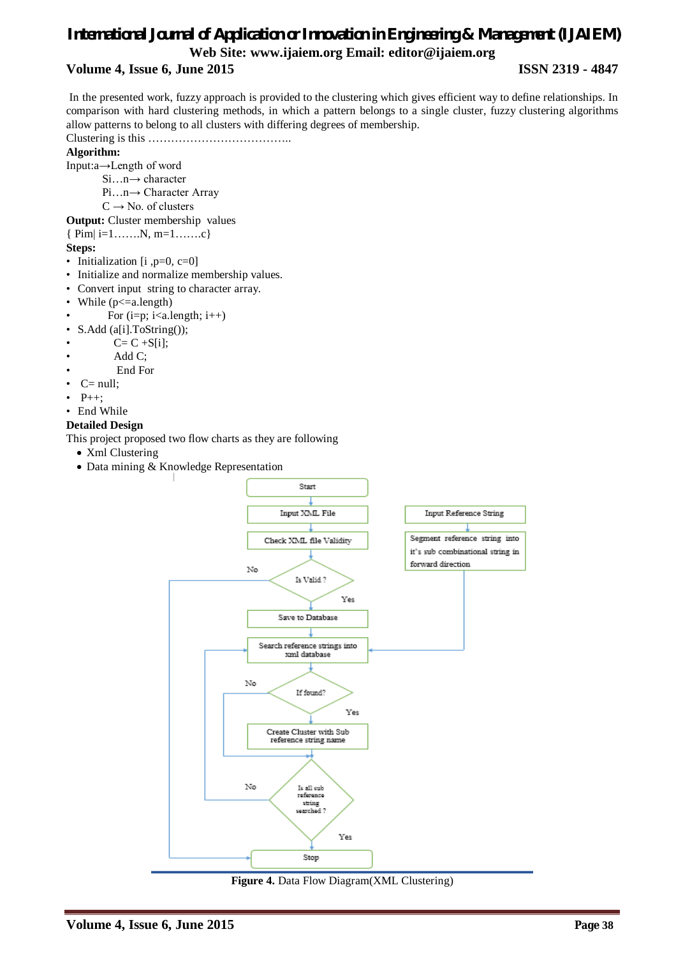#### **Volume 4, Issue 6, June 2015 ISSN 2319 - 4847**

In the presented work, fuzzy approach is provided to the clustering which gives efficient way to define relationships. In comparison with hard clustering methods, in which a pattern belongs to a single cluster, fuzzy clustering algorithms allow patterns to belong to all clusters with differing degrees of membership.

Clustering is this ………………………………..

#### **Algorithm:**

Input:a→Length of word

- Si…n→ character
- Pi…n→ Character Array
- $C \rightarrow No.$  of clusters

**Output:** Cluster membership values

{ Pim| i=1…….N, m=1…….c}

#### **Steps:**

- Initialization [i ,p=0, c=0]
- Initialize and normalize membership values.
- Convert input string to character array.
- While  $(p \leq a.length)$
- For  $(i=p; i \leq a.length; i++)$
- S.Add (a[i].ToString());
- $C = C + S[i];$
- Add C:
- End For
- $C= null$ :
- $P_{++}$ ;
- End While

#### **Detailed Design**

This project proposed two flow charts as they are following

- Xml Clustering
- Data mining & Knowledge Representation



**Figure 4.** Data Flow Diagram(XML Clustering)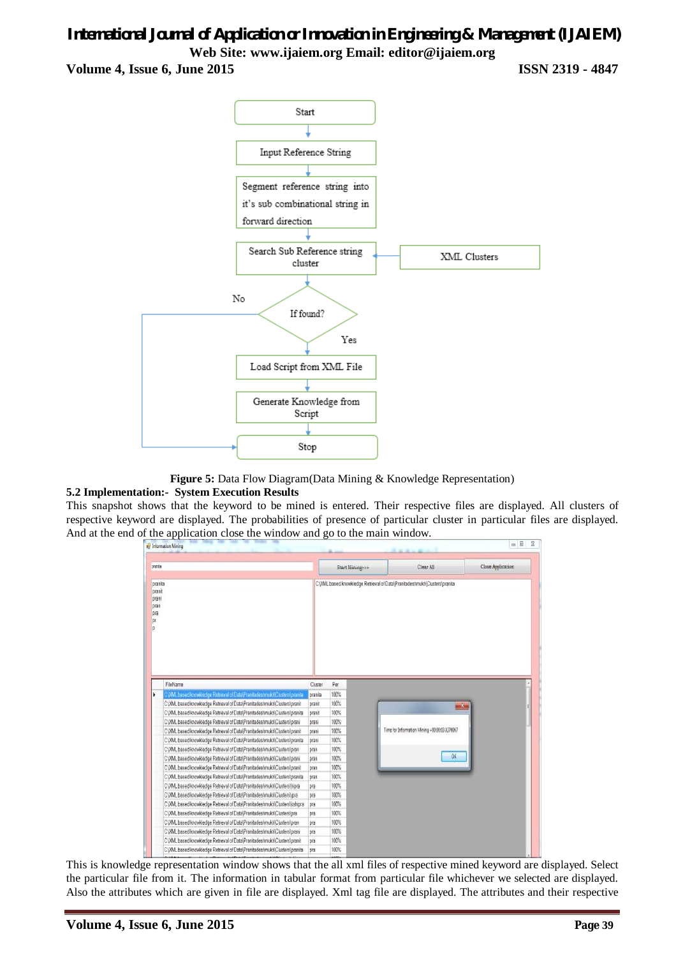**Volume 4, Issue 6, June 2015 ISSN 2319 - 4847**



**Figure 5:** Data Flow Diagram(Data Mining & Knowledge Representation)

#### **5.2 Implementation:- System Execution Results**

This snapshot shows that the keyword to be mined is entered. Their respective files are displayed. All clusters of respective keyword are displayed. The probabilities of presence of particular cluster in particular files are displayed. And at the end of the application close the window and go to the main window.



This is knowledge representation window shows that the all xml files of respective mined keyword are displayed. Select the particular file from it. The information in tabular format from particular file whichever we selected are displayed. Also the attributes which are given in file are displayed. Xml tag file are displayed. The attributes and their respective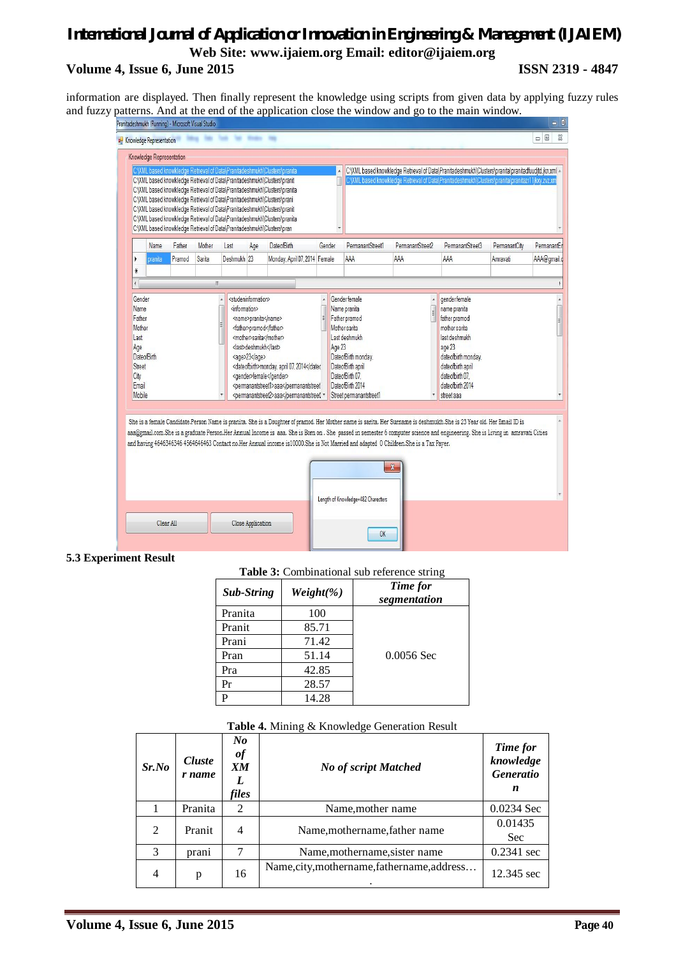### *International Journal of Application or Innovation in Engineering & Management (IJAIEM)* **Web Site: www.ijaiem.org Email: editor@ijaiem.org Volume 4, Issue 6, June 2015 ISSN 2319 - 4847**

information are displayed. Then finally represent the knowledge using scripts from given data by applying fuzzy rules and fuzzy patterns. And at the end of the application close the window and go to the main window.

| Knowledge Representation<br>C: XML based knowkledge Retrieval of Data\Pranitadeshmukh\Clusters\pranita<br>C:\XML based knowkledge Retrieval of Data\Pranitadeshmukh\Clusters\pranita\pranitadfuudjtd.jkn.xml ^<br>C:\XML based knowkledge Retrieval of Data\Pranitadeshmukh\Clusters\pranit<br>C:\XML based knowkledge Retrieval of Data\Pranitadeshmukh\Clusters\pranita\pranitazr11jkxy.zvz.xm<br>C:\XML based knowkledge Retrieval of Data\Pranitadeshmukh\Clusters\pranita<br>C:\XML based knowkledge Retrieval of Data\Pranitadeshmukh\Clusters\prani<br>C:\XML based knowkledge Retrieval of Data\Pranitadeshmukh\Clusters\pranit<br>C:\XML based knowkledge Retrieval of Data\Pranitadeshmukh\Clusters\pranita<br>C:\XML based knowkledge Retrieval of Data\Pranitadeshmukh\Clusters\pran<br>PermanantStreet1<br>Mother<br>PermanantStreet2<br>PermanantStreet3<br>PermanantCity<br>Name<br>Father<br>Age<br><b>DateofBirth</b><br>Gender<br>Last<br>Sarita<br>Pramod<br>Deshmukh <sub>23</sub><br>Monday, April 07, 2014 Female<br>AAA<br>AAA<br>AAA<br>Amravati<br>Y<br>pranita<br>☀<br>W<br>Gender female<br>gender female<br>Gender<br><studeninformation><br/><information><br/>Name pranita<br/>name pranita<br/>Name<br/>Father<br/><name>pranita</name><br/>Father pramod<br/>father pramod<br/><father>pramod</father><br/>Mother sarita<br/>mother sarita<br/>Mother<br/><mother>sarita</mother><br/>Last deshmukh<br/>last deshmukh<br/>Last<br/><last>deshmukh<last><br/>Age 23<br/>Age<br/>age 23<br/><b>DateofBirth</b><br/>DateofBirth monday,<br/>dateofbirth monday,<br/><age>23</age><br/><dateofbirth>monday, april 07, 2014DateofBirth april<br/>dateofbirth april<br/>Street<br/><gender>female</gender><br/>DateofBirth 07.<br/>date of birth 07.<br/>City<br/>DateofBirth 2014<br/>date of birth 2014<br/>Email<br/><permanantstreet1>aaa<permanantstreet2>aaaMobile<br/>Street permanantstreet1<br/>street aaa</permanantstreet2></permanantstreet1></dateofbirth></last></last></information></studeninformation> | Knowledge Representation |  |  |  |  |  | $\Sigma$<br><b>0</b> |
|---------------------------------------------------------------------------------------------------------------------------------------------------------------------------------------------------------------------------------------------------------------------------------------------------------------------------------------------------------------------------------------------------------------------------------------------------------------------------------------------------------------------------------------------------------------------------------------------------------------------------------------------------------------------------------------------------------------------------------------------------------------------------------------------------------------------------------------------------------------------------------------------------------------------------------------------------------------------------------------------------------------------------------------------------------------------------------------------------------------------------------------------------------------------------------------------------------------------------------------------------------------------------------------------------------------------------------------------------------------------------------------------------------------------------------------------------------------------------------------------------------------------------------------------------------------------------------------------------------------------------------------------------------------------------------------------------------------------------------------------------------------------------------------------------------------------------------------------------------------------------------------------------------------------------------------------------------------------------------------------------------------------------------------------------|--------------------------|--|--|--|--|--|----------------------|
|                                                                                                                                                                                                                                                                                                                                                                                                                                                                                                                                                                                                                                                                                                                                                                                                                                                                                                                                                                                                                                                                                                                                                                                                                                                                                                                                                                                                                                                                                                                                                                                                                                                                                                                                                                                                                                                                                                                                                                                                                                                   |                          |  |  |  |  |  |                      |
|                                                                                                                                                                                                                                                                                                                                                                                                                                                                                                                                                                                                                                                                                                                                                                                                                                                                                                                                                                                                                                                                                                                                                                                                                                                                                                                                                                                                                                                                                                                                                                                                                                                                                                                                                                                                                                                                                                                                                                                                                                                   |                          |  |  |  |  |  |                      |
|                                                                                                                                                                                                                                                                                                                                                                                                                                                                                                                                                                                                                                                                                                                                                                                                                                                                                                                                                                                                                                                                                                                                                                                                                                                                                                                                                                                                                                                                                                                                                                                                                                                                                                                                                                                                                                                                                                                                                                                                                                                   |                          |  |  |  |  |  | PermanantEr          |
|                                                                                                                                                                                                                                                                                                                                                                                                                                                                                                                                                                                                                                                                                                                                                                                                                                                                                                                                                                                                                                                                                                                                                                                                                                                                                                                                                                                                                                                                                                                                                                                                                                                                                                                                                                                                                                                                                                                                                                                                                                                   |                          |  |  |  |  |  | AAA@gmail.c          |
|                                                                                                                                                                                                                                                                                                                                                                                                                                                                                                                                                                                                                                                                                                                                                                                                                                                                                                                                                                                                                                                                                                                                                                                                                                                                                                                                                                                                                                                                                                                                                                                                                                                                                                                                                                                                                                                                                                                                                                                                                                                   |                          |  |  |  |  |  |                      |
|                                                                                                                                                                                                                                                                                                                                                                                                                                                                                                                                                                                                                                                                                                                                                                                                                                                                                                                                                                                                                                                                                                                                                                                                                                                                                                                                                                                                                                                                                                                                                                                                                                                                                                                                                                                                                                                                                                                                                                                                                                                   |                          |  |  |  |  |  |                      |
|                                                                                                                                                                                                                                                                                                                                                                                                                                                                                                                                                                                                                                                                                                                                                                                                                                                                                                                                                                                                                                                                                                                                                                                                                                                                                                                                                                                                                                                                                                                                                                                                                                                                                                                                                                                                                                                                                                                                                                                                                                                   |                          |  |  |  |  |  |                      |

#### **5.3 Experiment Result**

| Table 3: Combinational sub reference string |  |
|---------------------------------------------|--|
|                                             |  |

| <b>Sub-String</b> | $Weight(\%)$ | Time for<br>segmentation |
|-------------------|--------------|--------------------------|
| Pranita           | 100          |                          |
| Pranit            | 85.71        |                          |
| Prani             | 71.42        |                          |
| Pran              | 51.14        | $0.0056$ Sec             |
| Pra               | 42.85        |                          |
| Pr                | 28.57        |                          |
| P                 | 14.28        |                          |

#### **Table 4.** Mining & Knowledge Generation Result

| Sr.No          | <b>Cluste</b><br>r name | No<br>of<br>XМ<br>L<br>files | <b>No of script Matched</b>                 | Time for<br>knowledge<br><b>Generatio</b><br>n |
|----------------|-------------------------|------------------------------|---------------------------------------------|------------------------------------------------|
|                | Pranita                 | 2                            | Name, mother name                           | 0.0234 Sec                                     |
| 2              | Pranit                  | 4                            | Name, mothername, father name               | 0.01435<br><b>Sec</b>                          |
| 3              | prani                   | 7                            | Name, mothername, sister name               | $0.2341$ sec                                   |
| $\overline{4}$ | p                       | 16                           | Name, city, mothername, fathername, address | 12.345 sec                                     |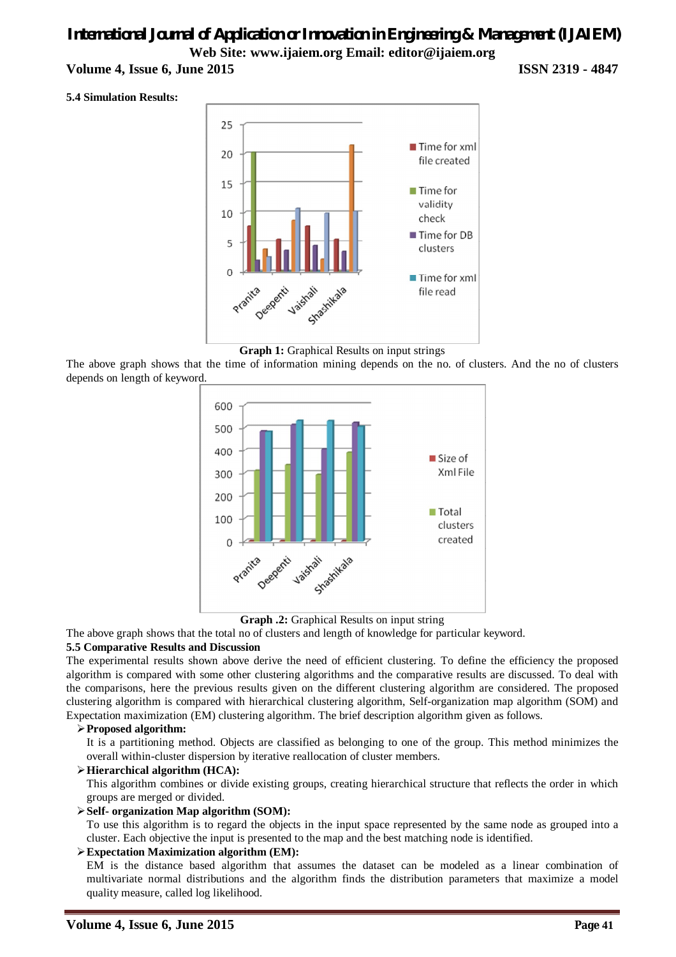**Volume 4, Issue 6, June 2015 ISSN 2319 - 4847**

#### **5.4 Simulation Results:**



**Graph 1:** Graphical Results on input strings

The above graph shows that the time of information mining depends on the no. of clusters. And the no of clusters depends on length of keyword.



**Graph .2:** Graphical Results on input string

The above graph shows that the total no of clusters and length of knowledge for particular keyword.

#### **5.5 Comparative Results and Discussion**

The experimental results shown above derive the need of efficient clustering. To define the efficiency the proposed algorithm is compared with some other clustering algorithms and the comparative results are discussed. To deal with the comparisons, here the previous results given on the different clustering algorithm are considered. The proposed clustering algorithm is compared with hierarchical clustering algorithm, Self-organization map algorithm (SOM) and Expectation maximization (EM) clustering algorithm. The brief description algorithm given as follows.

#### **Proposed algorithm:**

It is a partitioning method. Objects are classified as belonging to one of the group. This method minimizes the overall within-cluster dispersion by iterative reallocation of cluster members.

#### **Hierarchical algorithm (HCA):**

This algorithm combines or divide existing groups, creating hierarchical structure that reflects the order in which groups are merged or divided.

#### **Self- organization Map algorithm (SOM):**

To use this algorithm is to regard the objects in the input space represented by the same node as grouped into a cluster. Each objective the input is presented to the map and the best matching node is identified.

#### **Expectation Maximization algorithm (EM):**

EM is the distance based algorithm that assumes the dataset can be modeled as a linear combination of multivariate normal distributions and the algorithm finds the distribution parameters that maximize a model quality measure, called log likelihood.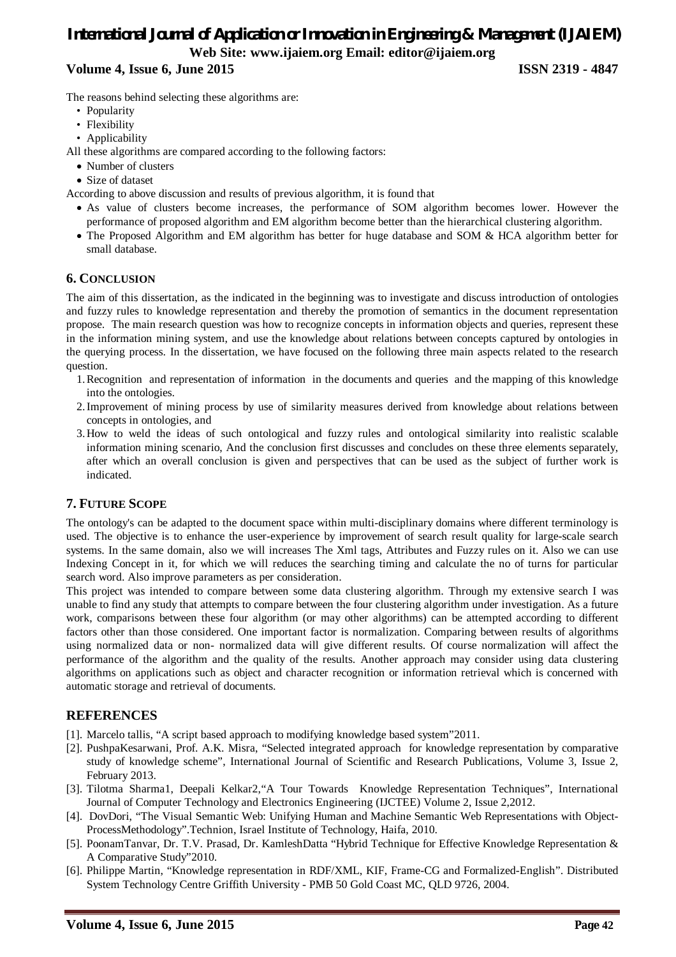#### **Volume 4, Issue 6, June 2015 ISSN 2319 - 4847**

The reasons behind selecting these algorithms are:

- Popularity
- Flexibility
- Applicability

All these algorithms are compared according to the following factors:

- Number of clusters
- Size of dataset
- According to above discussion and results of previous algorithm, it is found that
	- As value of clusters become increases, the performance of SOM algorithm becomes lower. However the performance of proposed algorithm and EM algorithm become better than the hierarchical clustering algorithm.
	- The Proposed Algorithm and EM algorithm has better for huge database and SOM & HCA algorithm better for small database.

#### **6. CONCLUSION**

The aim of this dissertation, as the indicated in the beginning was to investigate and discuss introduction of ontologies and fuzzy rules to knowledge representation and thereby the promotion of semantics in the document representation propose. The main research question was how to recognize concepts in information objects and queries, represent these in the information mining system, and use the knowledge about relations between concepts captured by ontologies in the querying process. In the dissertation, we have focused on the following three main aspects related to the research question.

- 1.Recognition and representation of information in the documents and queries and the mapping of this knowledge into the ontologies.
- 2.Improvement of mining process by use of similarity measures derived from knowledge about relations between concepts in ontologies, and
- 3.How to weld the ideas of such ontological and fuzzy rules and ontological similarity into realistic scalable information mining scenario, And the conclusion first discusses and concludes on these three elements separately, after which an overall conclusion is given and perspectives that can be used as the subject of further work is indicated.

#### **7. FUTURE SCOPE**

The ontology's can be adapted to the document space within multi-disciplinary domains where different terminology is used. The objective is to enhance the user-experience by improvement of search result quality for large-scale search systems. In the same domain, also we will increases The Xml tags, Attributes and Fuzzy rules on it. Also we can use Indexing Concept in it, for which we will reduces the searching timing and calculate the no of turns for particular search word. Also improve parameters as per consideration.

This project was intended to compare between some data clustering algorithm. Through my extensive search I was unable to find any study that attempts to compare between the four clustering algorithm under investigation. As a future work, comparisons between these four algorithm (or may other algorithms) can be attempted according to different factors other than those considered. One important factor is normalization. Comparing between results of algorithms using normalized data or non- normalized data will give different results. Of course normalization will affect the performance of the algorithm and the quality of the results. Another approach may consider using data clustering algorithms on applications such as object and character recognition or information retrieval which is concerned with automatic storage and retrieval of documents.

#### **REFERENCES**

- [1]. Marcelo tallis, "A script based approach to modifying knowledge based system"2011.
- [2]. PushpaKesarwani, Prof. A.K. Misra, "Selected integrated approach for knowledge representation by comparative study of knowledge scheme", International Journal of Scientific and Research Publications, Volume 3, Issue 2, February 2013.
- [3]. Tilotma Sharma1, Deepali Kelkar2,"A Tour Towards Knowledge Representation Techniques", International Journal of Computer Technology and Electronics Engineering (IJCTEE) Volume 2, Issue 2,2012.
- [4]. DovDori, "The Visual Semantic Web: Unifying Human and Machine Semantic Web Representations with Object-ProcessMethodology".Technion, Israel Institute of Technology, Haifa, 2010.
- [5]. PoonamTanvar, Dr. T.V. Prasad, Dr. KamleshDatta "Hybrid Technique for Effective Knowledge Representation & A Comparative Study"2010.
- [6]. Philippe Martin, "Knowledge representation in RDF/XML, KIF, Frame-CG and Formalized-English". Distributed System Technology Centre Griffith University - PMB 50 Gold Coast MC, QLD 9726, 2004.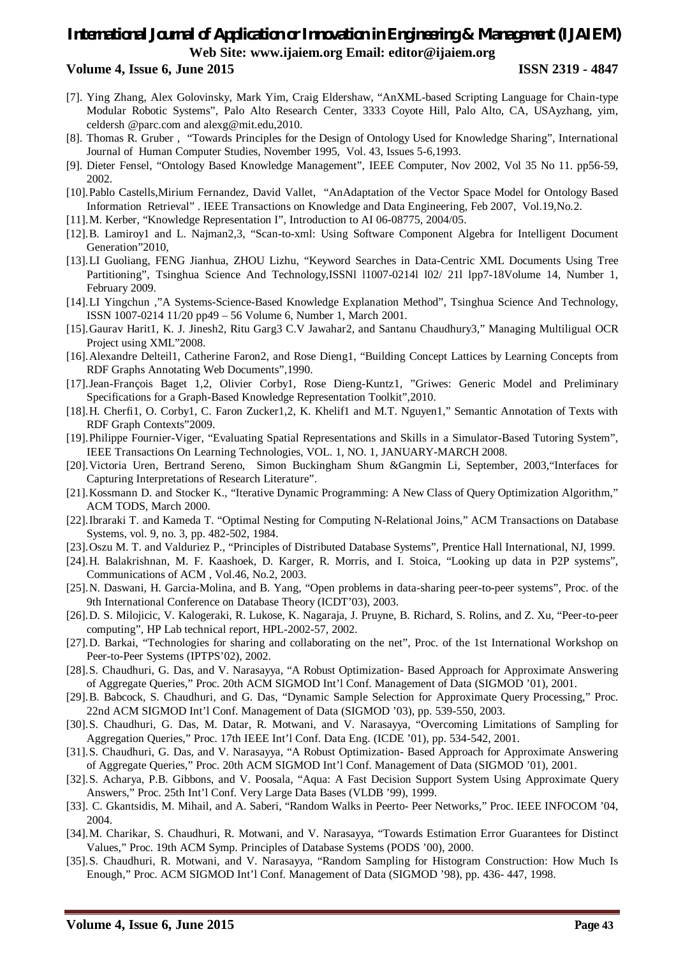#### **Volume 4, Issue 6, June 2015 ISSN 2319 - 4847**

- [7]. Ying Zhang, Alex Golovinsky, Mark Yim, Craig Eldershaw, "AnXML-based Scripting Language for Chain-type Modular Robotic Systems", Palo Alto Research Center, 3333 Coyote Hill, Palo Alto, CA, USAyzhang, yim, celdersh @parc.com and alexg@mit.edu,2010.
- [8]. Thomas R. Gruber , "Towards Principles for the Design of Ontology Used for Knowledge Sharing", International Journal of Human Computer Studies, November 1995, Vol. 43, Issues 5-6,1993.
- [9]. Dieter Fensel, "Ontology Based Knowledge Management", IEEE Computer, Nov 2002, Vol 35 No 11. pp56-59, 2002.
- [10].Pablo Castells,Mirium Fernandez, David Vallet, "AnAdaptation of the Vector Space Model for Ontology Based Information Retrieval" . IEEE Transactions on Knowledge and Data Engineering, Feb 2007, Vol.19,No.2.
- [11].M. Kerber, "Knowledge Representation I", Introduction to AI 06-08775, 2004/05.
- [12].B. Lamiroy1 and L. Najman2,3, "Scan-to-xml: Using Software Component Algebra for Intelligent Document Generation"2010,
- [13].LI Guoliang, FENG Jianhua, ZHOU Lizhu, "Keyword Searches in Data-Centric XML Documents Using Tree Partitioning", Tsinghua Science And Technology,ISSNI 11007-02141 102/ 211 lpp7-18Volume 14, Number 1, February 2009.
- [14].LI Yingchun ,"A Systems-Science-Based Knowledge Explanation Method", Tsinghua Science And Technology, ISSN 1007-0214 11/20 pp49 – 56 Volume 6, Number 1, March 2001.
- [15].Gaurav Harit1, K. J. Jinesh2, Ritu Garg3 C.V Jawahar2, and Santanu Chaudhury3," Managing Multiligual OCR Project using XML"2008.
- [16].Alexandre Delteil1, Catherine Faron2, and Rose Dieng1, "Building Concept Lattices by Learning Concepts from RDF Graphs Annotating Web Documents",1990.
- [17].Jean-François Baget 1,2, Olivier Corby1, Rose Dieng-Kuntz1, "Griwes: Generic Model and Preliminary Specifications for a Graph-Based Knowledge Representation Toolkit",2010.
- [18].H. Cherfi1, O. Corby1, C. Faron Zucker1,2, K. Khelif1 and M.T. Nguyen1," Semantic Annotation of Texts with RDF Graph Contexts"2009.
- [19].Philippe Fournier-Viger, "Evaluating Spatial Representations and Skills in a Simulator-Based Tutoring System", IEEE Transactions On Learning Technologies, VOL. 1, NO. 1, JANUARY-MARCH 2008.
- [20].Victoria Uren, Bertrand Sereno, Simon Buckingham Shum &Gangmin Li, September, 2003,"Interfaces for Capturing Interpretations of Research Literature".
- [21].Kossmann D. and Stocker K., "Iterative Dynamic Programming: A New Class of Query Optimization Algorithm," ACM TODS, March 2000.
- [22].Ibraraki T. and Kameda T. "Optimal Nesting for Computing N-Relational Joins," ACM Transactions on Database Systems, vol. 9, no. 3, pp. 482-502, 1984.
- [23].Oszu M. T. and Valduriez P., "Principles of Distributed Database Systems", Prentice Hall International, NJ, 1999.
- [24].H. Balakrishnan, M. F. Kaashoek, D. Karger, R. Morris, and I. Stoica, "Looking up data in P2P systems", Communications of ACM , Vol.46, No.2, 2003.
- [25].N. Daswani, H. Garcia-Molina, and B. Yang, "Open problems in data-sharing peer-to-peer systems", Proc. of the 9th International Conference on Database Theory (ICDT'03), 2003.
- [26].D. S. Milojicic, V. Kalogeraki, R. Lukose, K. Nagaraja, J. Pruyne, B. Richard, S. Rolins, and Z. Xu, "Peer-to-peer computing", HP Lab technical report, HPL-2002-57, 2002.
- [27].D. Barkai, "Technologies for sharing and collaborating on the net", Proc. of the 1st International Workshop on Peer-to-Peer Systems (IPTPS'02), 2002.
- [28].S. Chaudhuri, G. Das, and V. Narasayya, "A Robust Optimization- Based Approach for Approximate Answering of Aggregate Queries," Proc. 20th ACM SIGMOD Int'l Conf. Management of Data (SIGMOD '01), 2001.
- [29].B. Babcock, S. Chaudhuri, and G. Das, "Dynamic Sample Selection for Approximate Query Processing," Proc. 22nd ACM SIGMOD Int'l Conf. Management of Data (SIGMOD '03), pp. 539-550, 2003.
- [30].S. Chaudhuri, G. Das, M. Datar, R. Motwani, and V. Narasayya, "Overcoming Limitations of Sampling for Aggregation Queries," Proc. 17th IEEE Int'l Conf. Data Eng. (ICDE '01), pp. 534-542, 2001.
- [31].S. Chaudhuri, G. Das, and V. Narasayya, "A Robust Optimization- Based Approach for Approximate Answering of Aggregate Queries," Proc. 20th ACM SIGMOD Int'l Conf. Management of Data (SIGMOD '01), 2001.
- [32].S. Acharya, P.B. Gibbons, and V. Poosala, "Aqua: A Fast Decision Support System Using Approximate Query Answers," Proc. 25th Int'l Conf. Very Large Data Bases (VLDB '99), 1999.
- [33]. C. Gkantsidis, M. Mihail, and A. Saberi, "Random Walks in Peerto- Peer Networks," Proc. IEEE INFOCOM '04, 2004.
- [34].M. Charikar, S. Chaudhuri, R. Motwani, and V. Narasayya, "Towards Estimation Error Guarantees for Distinct Values," Proc. 19th ACM Symp. Principles of Database Systems (PODS '00), 2000.
- [35].S. Chaudhuri, R. Motwani, and V. Narasayya, "Random Sampling for Histogram Construction: How Much Is Enough," Proc. ACM SIGMOD Int'l Conf. Management of Data (SIGMOD '98), pp. 436- 447, 1998.